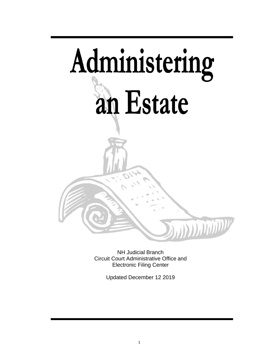# Administering an Estate **WARTHOUT WARTER**

NH Judicial Branch Circuit Court Administrative Office and Electronic Filing Center

Updated December 12 2019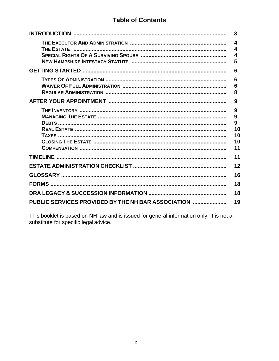# **Table of Contents**

|                                                    | 3                 |  |
|----------------------------------------------------|-------------------|--|
|                                                    | 4<br>4<br>4<br>5  |  |
|                                                    | 6                 |  |
|                                                    | 6<br>6<br>8<br>9  |  |
|                                                    |                   |  |
|                                                    | 9<br>9<br>9<br>10 |  |
|                                                    | 10<br>10<br>11    |  |
|                                                    | 11                |  |
|                                                    | 12                |  |
|                                                    | 16                |  |
|                                                    | 18                |  |
|                                                    |                   |  |
| PUBLIC SERVICES PROVIDED BY THE NH BAR ASSOCIATION |                   |  |

This booklet is based on NH law and is issued for general information only. It is not a substitute for specific legal advice.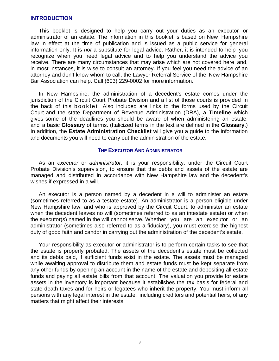### **INTRODUCTION**

This booklet is designed to help you carry out your duties as an executor or administrator of an estate. The information in this booklet is based on New Hampshire law in effect at the time of publication and is issued as a public service for general information only. It is *not* a substitute for legal advice. Rather, it is intended to help you recognize when you need legal advice and to help you understand the advice you receive. There are many circumstances that may arise which are not covered here and, in most instances, it is wise to consult an attorney. If you feel you need the advice of an attorney and don't know whom to call, the Lawyer Referral Service of the New Hampshire Bar Association can help. Call (603) 229-0002 for more information.

In New Hampshire, the administration of a decedent's estate comes under the jurisdiction of the Circuit Court Probate Division and a list of those courts is provided in the back of this b o o k let. Also included are links to the forms used by the Circuit Court and the state Department of Revenue Administration (DRA), a **Timeline** which gives some of the deadlines you should be aware of when administering an estate, and a basic **Glossary** of terms. (Italicized terms in the text are defined in the **Glossary**.) In addition, the **Estate Administration Checklist** will give you a guide to the information and documents you will need to carry out the administration of the estate.

### **THE EXECUTOR AND ADMINISTRATOR**

As an *executor* or *administrator*, it is your responsibility, under the Circuit Court Probate Division's supervision, to ensure that the debts and assets of the estate are managed and distributed in accordance with New Hampshire law and the decedent's wishes if expressed in a will.

An executor is a person named by a decedent in a will to administer an estate (sometimes referred to as a testate estate). An administrator is a person eligible under New Hampshire law, and who is approved by the Circuit Court, to administer an estate when the decedent leaves no will (sometimes referred to as an intestate estate) or when the executor(s) named in the will cannot serve. Whether you are an executor or an administrator (sometimes also referred to as a fiduciary), you must exercise the highest duty of good faith and candor in carrying out the administration of the decedent's estate.

Your responsibility as executor or administrator is to perform certain tasks to see that the estate is properly probated. The assets of the decedent's estate must be collected and its debts paid, if sufficient funds exist in the estate. The assets must be managed while awaiting approval to distribute them and estate funds must be kept separate from any other funds by opening an account in the name of the estate and depositing all estate funds and paying all estate bills from that account. The valuation you provide for estate assets in the inventory is important because it establishes the tax basis for federal and state death taxes and for heirs or legatees who inherit the property. You must inform all persons with any legal interest in the estate, including creditors and potential heirs, of any matters that might affect their interests.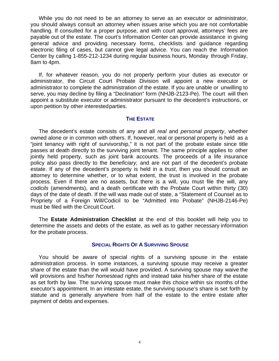While you do not need to be an attorney to serve as an executor or administrator, you should always consult an attorney when issues arise which you are not comfortable handling. If consulted for a proper purpose, and with court approval, attorneys' fees are payable out of the estate. The court's Information Center can provide assistance in giving general advice and providing necessary forms, checklists and guidance regarding electronic filing of cases, but cannot give legal advice. You can reach the Information Center by calling 1-855-212-1234 during regular business hours, Monday through Friday, 8am to 4pm.

If, for whatever reason, you do not properly perform your duties as executor or administrator, the Circuit Court Probate Division will appoint a new executor or administrator to complete the administration of the estate. If you are unable or unwilling to serve, you may decline by filing a "Declination" form (NHJB-2123-Pe). The court will then appoint a substitute executor or administrator pursuant to the decedent's instructions, or upon petition by other interested parties.

### **THE ESTATE**

The decedent's estate consists of any and all *real* and *personal property*, whether owned alone or in common with others. If, however, real or personal property is held as a "joint tenancy with right of survivorship," it is not part of the probate estate since title passes at death directly to the surviving joint tenant. The same principle applies to other jointly held property, such as joint bank accounts. The proceeds of a life insurance policy also pass directly to the *beneficiary,* and are not part of the decedent's probate estate. If any of the decedent's property is held in a *trust*, then you should consult an attorney to determine whether, or to what extent, the trust is involved in the probate process. Even if there are no assets, but there is a will, you must file the will, any *codicils* (amendments), and a death certificate with the Probate Court within thirty (30) days of the date of death. If the will was made out of state, a "Statement of Counsel as to Propriety of a Foreign Will/Codicil to be "Admitted into Probate" (NHJB-2146-Pe) must be filed with the Circuit Court.

The **Estate Administration Checklist** at the end of this booklet will help you to determine the assets and debts of the estate, as well as to gather necessary information for the probate process.

### **SPECIAL RIGHTS OF A SURVIVING SPOUSE**

You should be aware of special rights of a surviving spouse in the estate administration process. In some instances, a surviving spouse may receive a greater share of the estate than the will would have provided. A surviving spouse may waive the will provisions and his/her *homestead rights* and instead take his/her share of the estate as set forth by law. The surviving spouse must make this choice within six months of the executor's appointment. In an intestate estate, the surviving spouse's share is set forth by statute and is generally anywhere from half of the estate to the entire estate after payment of debts and expenses.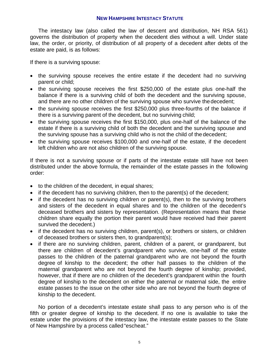### **NEW HAMPSHIRE INTESTACY STATUTE**

The intestacy law (also called the law of descent and distribution, NH RSA 561) governs the distribution of property when the decedent dies without a will. Under state law, the order, or priority, of distribution of all property of a decedent after debts of the estate are paid, is as follows:

If there is a surviving spouse:

- the surviving spouse receives the entire estate if the decedent had no surviving parent or child;
- the surviving spouse receives the first \$250,000 of the estate plus one-half the balance if there is a surviving child of both the decedent and the surviving spouse, and there are no other children of the surviving spouse who survive the decedent;
- the surviving spouse receives the first \$250,000 plus three-fourths of the balance if there is a surviving parent of the decedent, but no surviving child;
- the surviving spouse receives the first \$150,000, plus one-half of the balance of the estate if there is a surviving child of both the decedent and the surviving spouse and the surviving spouse has a surviving child who is not the child of the decedent;
- the surviving spouse receives \$100,000 and one-half of the estate, if the decedent left children who are not also children of the surviving spouse.

If there is not a surviving spouse or if parts of the intestate estate still have not been distributed under the above formula, the remainder of the estate passes in the following order:

- to the children of the decedent, in equal shares;
- $\bullet$  if the decedent has no surviving children, then to the parent(s) of the decedent;
- $\bullet$  if the decedent has no surviving children or parent(s), then to the surviving brothers and sisters of the decedent in equal shares and to the children of the decedent's deceased brothers and sisters by representation. (Representation means that these children share equally the portion their parent would have received had their parent survived the decedent.)
- if the decedent has no surviving children, parent(s), or brothers or sisters, or children of deceased brothers or sisters then, to grandparent(s);
- if there are no surviving children, parent, children of a parent, or grandparent, but there are children of decedent's grandparent who survive, one-half of the estate passes to the children of the paternal grandparent who are not beyond the fourth degree of kinship to the decedent; the other half passes to the children of the maternal grandparent who are not beyond the fourth degree of kinship; provided, however, that if there are no children of the decedent's grandparent within the fourth degree of kinship to the decedent on either the paternal or maternal side, the entire estate passes to the issue on the other side who are not beyond the fourth degree of kinship to the decedent.

No portion of a decedent's intestate estate shall pass to any person who is of the fifth or greater degree of kinship to the decedent. If no one is available to take the estate under the provisions of the intestacy law, the intestate estate passes to the State of New Hampshire by a process called "escheat."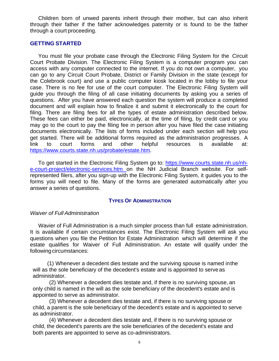Children born of unwed parents inherit through their mother, but can also inherit through their father if the father acknowledges paternity or is found to be the father through a court proceeding.

### **GETTING STARTED**

You must file your probate case through the Electronic Filing System for the Circuit Court Probate Division. The Electronic Filing System is a computer program you can access with any computer connected to the internet. If you do not own a computer, you can go to any Circuit Court Probate, District or Family Division in the state (except for the Colebrook court) and use a public computer kiosk located in the lobby to file your case. There is no fee for use of the court computer. The Electronic Filing System will guide you through the filing of all case initiating documents by asking you a series of questions. After you have answered each question the system will produce a completed document and will explain how to finalize it and submit it electronically to the court for filing. There are filing fees for all the types of estate administration described below. These fees can either be paid, electronically, at the time of filing, by credit card or you may go to the court to pay the filing fee in person after you have filed the case initiating documents electronically. The lists of forms included under each section will help you get started. There will be additional forms required as the administration progresses. A link to court forms and other helpful resources is available at: [https://www.courts.state.nh.us/probate/estate.htm.](http://www.courts.state.nh.us/probate/estate.htm)

To get started in the Electronic Filing System go to: [https://www.courts.state.nh.us/nh](http://www.courts.state.nh.us/nh-e-court-project/electronic-services.htm)[e-court-project/electronic-services.htm o](http://www.courts.state.nh.us/nh-e-court-project/electronic-services.htm)n the NH Judicial Branch website. For selfrepresented filers, after you sign-up with the Electronic Filing System, it guides you to the forms you will need to file. Many of the forms are generated automatically after you answer a series of questions.

### **TYPES OF ADMINISTRATION**

### *Waiver of Full Administration*

Wavier of Full Administration is a much simpler process than full estate administration. It is available if certain circumstances exist. The Electronic Filing System will ask you questions when you file the Petition for Estate Administration which will determine if the estate qualifies for Waiver of Full Administration. An estate will qualify under the following circumstances:

(1) Whenever a decedent dies testate and the surviving spouse is named in the will as the sole beneficiary of the decedent's estate and is appointed to serve as administrator.

(2) Whenever a decedent dies testate and, if there is no surviving spouse, an only child is named in the will as the sole beneficiary of the decedent's estate and is appointed to serve as administrator.

(3) Whenever a decedent dies testate and, if there is no surviving spouse or child, a parent is the sole beneficiary of the decedent's estate and is appointed to serve as administrator.

(4) Whenever a decedent dies testate and, if there is no surviving spouse or child, the decedent's parents are the sole beneficiaries of the decedent's estate and both parents are appointed to serve as co-administrators.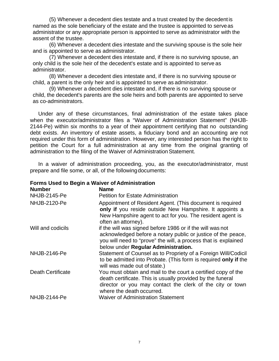(5) Whenever a decedent dies testate and a trust created by the decedent is named as the sole beneficiary of the estate and the trustee is appointed to serve as administrator or any appropriate person is appointed to serve as administrator with the assent of the trustee.

(6) Whenever a decedent dies intestate and the surviving spouse is the sole heir and is appointed to serve as administrator.

(7) Whenever a decedent dies intestate and, if there is no surviving spouse, an only child is the sole heir of the decedent's estate and is appointed to serve as administrator.

(8) Whenever a decedent dies intestate and, if there is no surviving spouse or child, a parent is the only heir and is appointed to serve as administrator.

(9) Whenever a decedent dies intestate and, if there is no surviving spouse or child, the decedent's parents are the sole heirs and both parents are appointed to serve as co-administrators.

Under any of these circumstances, final administration of the estate takes place when the executor/administrator files a "Waiver of Administration Statement" (NHJB-2144-Pe) within six months to a year of their appointment certifying that no outstanding debt exists. An inventory of estate assets, a fiduciary bond and an accounting are not required under this form of administration. However, any interested person has the right to petition the Court for a full administration at any time from the original granting of administration to the filing of the Waiver of Administration Statement.

In a waiver of administration proceeding, you, as the executor/administrator, must prepare and file some, or all, of the following documents:

**Forms Used to Begin a Waiver of Administration** 

| <b>Number</b>            | <b>Name</b>                                                                                                                                                                                                                        |
|--------------------------|------------------------------------------------------------------------------------------------------------------------------------------------------------------------------------------------------------------------------------|
| <b>NHJB-2145-Pe</b>      | <b>Petition for Estate Administration</b>                                                                                                                                                                                          |
| <b>NHJB-2120-Pe</b>      | Appointment of Resident Agent. (This document is required<br>only if you reside outside New Hampshire. It appoints a<br>New Hampshire agent to act for you. The resident agent is<br>often an attorney).                           |
| Will and codicils        | if the will was signed before 1986 or if the will was not<br>acknowledged before a notary public or justice of the peace,<br>you will need to "prove" the will, a process that is explained<br>below under Regular Administration. |
| NHJB-2146-Pe             | Statement of Counsel as to Propriety of a Foreign Will/Codicil<br>to be admitted into Probate. (This form is required only if the<br>will was made out of state.)                                                                  |
| <b>Death Certificate</b> | You must obtain and mail to the court a certified copy of the<br>death certificate. This is usually provided by the funeral<br>director or you may contact the clerk of the city or town<br>where the death occurred.              |
| NHJB-2144-Pe             | <b>Waiver of Administration Statement</b>                                                                                                                                                                                          |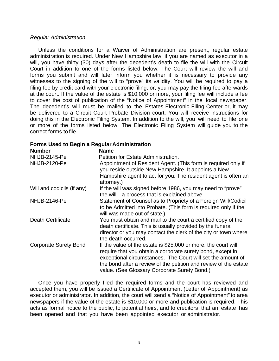### *Regular Administration*

Unless the conditions for a Waiver of Administration are present, regular estate administration is required. Under New Hampshire law, if you are named as executor in a will, you have thirty (30) days after the decedent's death to file the will with the Circuit Court in addition to one of the forms listed below. The Court will review the will and forms you submit and will later inform you whether it is necessary to provide any witnesses to the signing of the will to "prove" its validity. You will be required to pay a filing fee by credit card with your electronic filing, or, you may pay the filing fee afterwards at the court. If the value of the estate is \$10,000 or more, your filing fee will include a fee to cover the cost of publication of the "Notice of Appointment" in the local newspaper. The decedent's will must be mailed to the Estates Electronic Filing Center or, it may be delivered to a Circuit Court Probate Division court. You will receive instructions for doing this in the Electronic Filing System. In addition to the will, you will need to file one or more of the forms listed below. The Electronic Filing System will guide you to the correct forms to file.

# **Forms Used to Begin a Regular Administration**

| <b>Number</b>                | <b>Name</b>                                                                                                                                                                                                                                                                                                     |
|------------------------------|-----------------------------------------------------------------------------------------------------------------------------------------------------------------------------------------------------------------------------------------------------------------------------------------------------------------|
| <b>NHJB-2145-Pe</b>          | Petition for Estate Administration.                                                                                                                                                                                                                                                                             |
| <b>NHJB-2120-Pe</b>          | Appointment of Resident Agent. (This form is required only if<br>you reside outside New Hampshire. It appoints a New<br>Hampshire agent to act for you. The resident agent is often an<br>attorney.)                                                                                                            |
| Will and codicils (if any)   | If the will was signed before 1986, you may need to "prove"<br>the will-a process that is explained above.                                                                                                                                                                                                      |
| NHJB-2146-Pe                 | Statement of Counsel as to Propriety of a Foreign Will/Codicil<br>to be Admitted into Probate. (This form is required only if the<br>will was made out of state.)                                                                                                                                               |
| <b>Death Certificate</b>     | You must obtain and mail to the court a certified copy of the<br>death certificate. This is usually provided by the funeral<br>director or you may contact the clerk of the city or town where<br>the death occurred.                                                                                           |
| <b>Corporate Surety Bond</b> | If the value of the estate is \$25,000 or more, the court will<br>require that you obtain a corporate surety bond, except in<br>exceptional circumstances. The Court will set the amount of<br>the bond after a review of the petition and review of the estate<br>value. (See Glossary Corporate Surety Bond.) |

Once you have properly filed the required forms and the court has reviewed and accepted them, you will be issued a Certificate of Appointment (Letter of Appointment) as executor or administrator. In addition, the court will send a "Notice of Appointment" to area newspapers if the value of the estate is \$10,000 or more and publication is required. This acts as formal notice to the public, to potential heirs, and to creditors that an estate has been opened and that you have been appointed executor or administrator.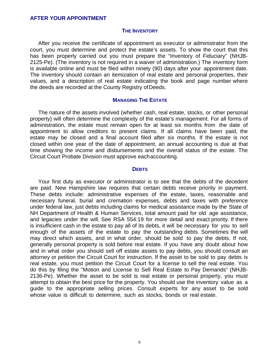### **AFTER YOUR APPOINTMENT**

### **THE INVENTORY**

After you receive the certificate of appointment as executor or administrator from the court, you must determine and protect the estate's assets. To show the court that this has been properly carried out you must prepare the "Inventory of Fiduciary" (NHJB-2125-Pe). (The inventory is not required in a waiver of administration.) The inventory form is available online and must be filed within ninety (90) days after your appointment date. The inventory should contain an itemization of real estate and personal properties, their values, and a description of real estate indicating the book and page number where the deeds are recorded at the County Registry of Deeds.

### **MANAGING THE ESTATE**

The nature of the assets involved (whether cash, real estate, stocks, or other personal property) will often determine the complexity of the estate's management. For all forms of administration, the estate must remain open for at least six months from the date of appointment to allow creditors to present claims. If all claims have been paid, the estate may be closed and a final account filed after six months. If the estate is not closed within one year of the date of appointment, an annual accounting is due at that time showing the income and disbursements and the overall status of the estate. The Circuit Court Probate Division must approve each accounting.

### **DEBTS**

Your first duty as executor or administrator is to see that the debts of the decedent are paid. New Hampshire law requires that certain debts receive priority in payment. These debts include: administrative expenses of the estate, taxes, reasonable and necessary funeral, burial and cremation expenses, debts and taxes with preference under federal law, just debts including claims for medical assistance made by the State of NH Department of Health & Human Services, total amount paid for old age assistance, and legacies under the will. See RSA 554:19 for more detail and exact priority. If there is insufficient cash in the estate to pay all of its debts, it will be necessary for you to sell enough of the assets of the estate to pay the outstanding debts. Sometimes the will may direct which assets, and in what order, should be sold to pay the debts. If not, generally personal property is sold before real estate. If you have any doubt about how and in what order you should sell off estate assets to pay debts, you should consult an attorney or petition the Circuit Court for instruction. If the asset to be sold to pay debts is real estate, you must petition the Circuit Court for a license to sell the real estate. You do this by filing the "Motion and License to Sell Real Estate to Pay Demands" (NHJB-2136-Pe). Whether the asset to be sold is real estate or personal property, you must attempt to obtain the best price for the property. You should use the inventory value as a guide to the appropriate selling prices. Consult experts for any asset to be sold whose value is difficult to determine, such as stocks, bonds or real estate.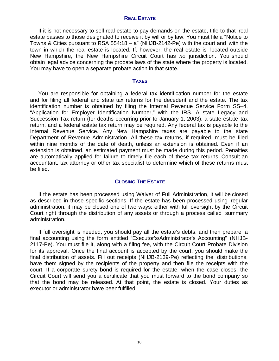### **REAL ESTATE**

If it is not necessary to sell real estate to pay demands on the estate, title to that real estate passes to those designated to receive it by will or by law. You must file a "Notice to Towns & Cities pursuant to RSA 554:18 –  $a''$  (NHJB-2142-Pe) with the court and with the town in which the real estate is located. If, however, the real estate is located outside New Hampshire, the New Hampshire Circuit Court has *no* jurisdiction. You should obtain legal advice concerning the probate laws of the state where the property is located. You may have to open a separate probate action in that state.

### **TAXES**

You are responsible for obtaining a federal tax identification number for the estate and for filing all federal and state tax returns for the decedent and the estate. The tax identification number is obtained by filing the Internal Revenue Service Form SS–4, "Application for Employer Identification Number," with the IRS. A state Legacy and Succession Tax return (for deaths occurring prior to January 1, 2003), a state estate tax return, and a federal estate tax return may be required. Any federal tax is payable to the Internal Revenue Service. Any New Hampshire taxes are payable to the state Department of Revenue Administration. All these tax returns, if required, must be filed within nine months of the date of death, unless an extension is obtained. Even if an extension is obtained, an estimated payment must be made during this period. Penalties are automatically applied for failure to timely file each of these tax returns. Consult an accountant, tax attorney or other tax specialist to determine which of these returns must be filed.

### **CLOSING THE ESTATE**

If the estate has been processed using Waiver of Full Administration, it will be closed as described in those specific sections. If the estate has been processed using regular administration, it may be closed one of two ways: either with full oversight by the Circuit Court right through the distribution of any assets or through a process called summary administration.

If full oversight is needed, you should pay all the estate's debts, and then prepare a final accounting using the form entitled "Executor's/Administrator's Accounting" (NHJB-2117-Pe). You must file it, along with a filing fee, with the Circuit Court Probate Division for its approval. Once the final account is accepted by the court, you should make the final distribution of assets. Fill out receipts (NHJB-2139-Pe) reflecting the distributions, have them signed by the recipients of the property and then file the receipts with the court. If a corporate surety bond is required for the estate, when the case closes, the Circuit Court will send you a certificate that you must forward to the bond company so that the bond may be released. At that point, the estate is closed. Your duties as executor or administrator have been fulfilled.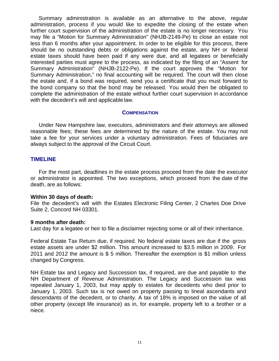Summary administration is available as an alternative to the above, regular administration, process if you would like to expedite the closing of the estate when further court supervision of the administration of the estate is no longer necessary. You may file a "Motion for Summary Administration" (NHJB-2149-Pe) to close an estate not less than 6 months after your appointment. In order to be eligible for this process, there should be no outstanding debts or obligations against the estate, any NH or federal estate taxes should have been paid if any were due, and all legatees or beneficially interested parties must agree to the process, as indicated by the filing of an "Assent for Summary Administration" (NHJB-2122-Pe). If the court approves the "Motion for Summary Administration," no final accounting will be required. The court will then close the estate and, if a bond was required, send you a certificate that you must forward to the bond company so that the bond may be released. You would then be obligated to complete the administration of the estate without further court supervision in accordance with the decedent's will and applicable law.

### **COMPENSATION**

Under New Hampshire law, executors, administrators and their attorneys are allowed reasonable fees; these fees are determined by the nature of the estate. You may not take a fee for your services under a voluntary administration. Fees of fiduciaries are always subject to the approval of the Circuit Court.

### **TIMELINE**

For the most part, deadlines in the estate process proceed from the date the executor or administrator is appointed. The two exceptions, which proceed from the date of the death, are as follows:

### **Within 30 days of death:**

File the decedent's will with the Estates Electronic Filing Center, 2 Charles Doe Drive Suite 2, Concord NH 03301.

### **9 months after death:**

Last day for a legatee or heir to file a disclaimer rejecting some or all of their inheritance.

Federal Estate Tax Return due, if required. No federal estate taxes are due if the gross estate assets are under \$2 million. This amount increased to \$3.5 million in 2009. For 2011 and 2012 the amount is \$ 5 million. Thereafter the exemption is \$1 million unless changed by Congress.

NH Estate tax and Legacy and Succession tax, if required, are due and payable to the NH Department of Revenue Administration. The Legacy and Succession tax was repealed January 1, 2003, but may apply to estates for decedents who died prior to January 1, 2003. Such tax is not owed on property passing to lineal ascendants and descendants of the decedent, or to charity. A tax of 18% is imposed on the value of all other property (except life insurance) as in, for example, property left to a brother or a niece.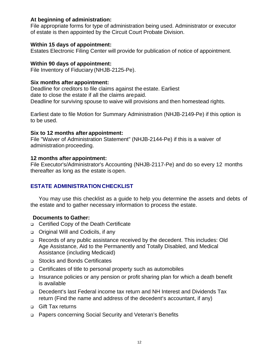# **At beginning of administration:**

File appropriate forms for type of administration being used. Administrator or executor of estate is then appointed by the Circuit Court Probate Division.

# **Within 15 days of appointment:**

Estates Electronic Filing Center will provide for publication of notice of appointment.

# **Within 90 days of appointment:**

File Inventory of Fiduciary (NHJB-2125-Pe).

# **Six months after appointment:**

Deadline for creditors to file claims against the estate. Earliest date to close the estate if all the claims are paid. Deadline for surviving spouse to waive will provisions and then homestead rights.

Earliest date to file Motion for Summary Administration (NHJB-2149-Pe) if this option is to be used.

# **Six to 12 months after appointment:**

File "Waiver of Administration Statement" (NHJB-2144-Pe) if this is a waiver of administration proceeding.

# **12 months after appointment:**

File Executor's/Administrator's Accounting (NHJB-2117-Pe) and do so every 12 months thereafter as long as the estate is open.

# **ESTATE ADMINISTRATION CHECKLIST**

You may use this checklist as a guide to help you determine the assets and debts of the estate and to gather necessary information to process the estate.

# **Documents to Gather:**

- □ Certified Copy of the Death Certificate
- Original Will and Codicils, if any
- Records of any public assistance received by the decedent. This includes: Old Age Assistance, Aid to the Permanently and Totally Disabled, and Medical Assistance (including Medicaid)
- □ Stocks and Bonds Certificates
- □ Certificates of title to personal property such as automobiles
- □ Insurance policies or any pension or profit sharing plan for which a death benefit is available
- Decedent's last Federal income tax return and NH Interest and Dividends Tax return (Find the name and address of the decedent's accountant, if any)
- □ Gift Tax returns
- □ Papers concerning Social Security and Veteran's Benefits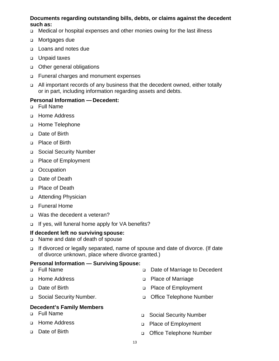# **Documents regarding outstanding bills, debts, or claims against the decedent such as:**

- Medical or hospital expenses and other monies owing for the last illness
- □ Mortgages due
- □ Loans and notes due
- □ Unpaid taxes
- **D** Other general obligations
- Funeral charges and monument expenses
- All important records of any business that the decedent owned, either totally or in part, including information regarding assets and debts.

# **Personal Information — Decedent:**

- Full Name
- Home Address
- Home Telephone
- Date of Birth
- □ Place of Birth
- □ Social Security Number
- □ Place of Employment
- □ Occupation
- Date of Death
- □ Place of Death
- □ Attending Physician
- Funeral Home
- □ Was the decedent a veteran?
- □ If yes, will funeral home apply for VA benefits?

# **If decedent left no surviving spouse:**

- Name and date of death of spouse
- If divorced or legally separated, name of spouse and date of divorce. (If date of divorce unknown, place where divorce granted.)

# **Personal Information — Surviving Spouse:**

- Full Name □ Date of Marriage to Decedent
- Home Address
- Date of Birth
- □ Social Security Number.

# **Decedent's Family Members**

- Full Name
- □ Home Address
- Date of Birth
- □ Place of Marriage
- □ Place of Employment
- □ Office Telephone Number
- □ Social Security Number
- □ Place of Employment
- □ Office Telephone Number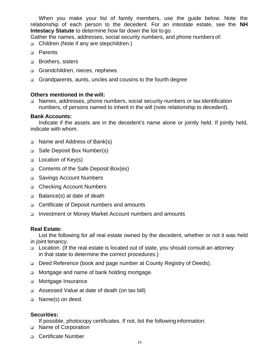When you make your list of family members, use the guide below. Note the relationship of each person to the decedent. For an intestate estate, see the **NH Intestacy Statute** to determine how far down the list to go.

Gather the names, addresses, social security numbers, and phone numbers of:

□ Children (Note if any are stepchildren.)

- **D** Parents
- □ Brothers, sisters
- Grandchildren, nieces, nephews
- Grandparents, aunts, uncles and cousins to the fourth degree

# **Others mentioned in the will:**

 Names, addresses, phone numbers, social security numbers or tax identification numbers, of persons named to inherit in the will (note relationship to decedent).

# **Bank Accounts:**

Indicate if the assets are in the decedent's name alone or jointly held. If jointly held, indicate with whom.

- Name and Address of Bank(s)
- □ Safe Deposit Box Number(s)
- □ Location of Key(s)
- Contents of the Safe Deposit Box(es)
- □ Savings Account Numbers
- □ Checking Account Numbers
- □ Balance(s) at date of death
- □ Certificate of Deposit numbers and amounts
- Investment or Money Market Account numbers and amounts

# **Real Estate:**

List the following for *all* real estate owned by the decedent, whether or not it was held in joint tenancy.

- □ Location. (If the real estate is located out of state, you should consult an attorney in that state to determine the correct procedures.)
- Deed Reference (book and page number at County Registry of Deeds).
- □ Mortgage and name of bank holding mortgage.
- **D** Mortgage Insurance
- Assessed Value at date of death (on tax bill)
- Name(s) on deed.

# **Securities:**

If possible, photocopy certificates. If not, list the following information:

- □ Name of Corporation
- **Q** Certificate Number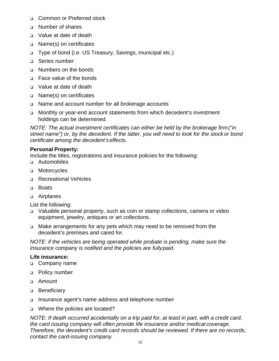- □ Common or Preferred stock
- Number of shares
- □ Value at date of death
- □ Name(s) on certificates
- □ Type of bond (i.e. US Treasury, Savings, municipal etc.)
- Series number
- □ Numbers on the bonds
- □ Face value of the bonds
- □ Value at date of death
- □ Name(s) on certificates
- Name and account number for all brokerage accounts
- Monthly or year-end account statements from which decedent's investment holdings can be determined.

*NOTE: The actual investment certificates can either be held by the brokerage firm ("in street name") or, by the decedent. If the latter, you will need to look for the stock or bond certificate among the decedent's effects.*

# **Personal Property:**

Include the titles, registrations and insurance policies for the following:

- Automobiles
- D Motorcycles
- □ Recreational Vehicles
- □ Boats
- Airplanes

List the following:

- Valuable personal property, such as coin or stamp collections, camera or video equipment, jewelry, antiques or art collections.
- Make arrangements for any pets which may need to be removed from the decedent's premises and cared for.

*NOTE: if the vehicles are being operated while probate is pending, make sure the insurance company is notified and the policies are fully paid.* 

### **Life insurance:**

- Company name
- **Policy number**
- Amount
- **Beneficiary**
- Insurance agent's name address and telephone number
- □ Where the policies are located?

*NOTE: If death occurred accidentally on a trip paid for, at least in part, with a credit card, the card issuing company will often provide life insurance and/or medical coverage. Therefore, the decedent's credit card records should be reviewed. If there are no records, contact the card-issuing company.*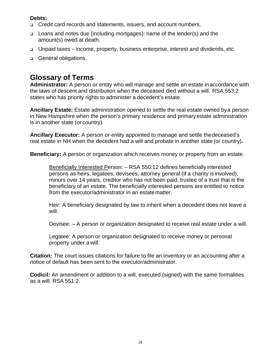# **Debts:**

- Credit card records and statements, issuers, and account numbers.
- Loans and notes due (including mortgages): name of the lender(s) and the amount(s) owed at death.
- □ Unpaid taxes income, property, business enterprise, interest and dividends, etc.
- General obligations.

# **Glossary of Terms**

**Administrator:** A person or entity who will manage and settle an estate in accordance with the laws of descent and distribution when the deceased died without a will. RSA 553:2 states who has priority rights to administer a decedent's estate.

**Ancillary Estate:** Estate administration opened to settle the real estate owned by a person in New Hampshire when the person's primary residence and primary estate administration is in another state (or country).

**Ancillary Executor:** A person or entity appointed to manage and settle the deceased's real estate in NH when the decedent had a will and probate in another state (or country)**.**

**Beneficiary:** A person or organization which receives money or property from an estate.

Beneficially Interested Person: – RSA 550:12 defines beneficially interested persons as heirs, legatees, devisees, attorney general (if a charity is involved), minors over 14 years, creditor who has not been paid, trustee of a trust that is the beneficiary of an estate. The beneficially interested persons are entitled to notice from the executor/administrator in an estate matter.

Heir: A beneficiary designated by law to inherit when a decedent does not leave a will.

Devisee: – A person or organization designated to receive real estate under a will.

Legatee: A person or organization designated to receive money or personal property under a will.

**Citation:** The court issues citations for failure to file an inventory or an accounting after a notice of default has been sent to the executor/administrator.

**Codicil:** An amendment or addition to a will, executed (signed) with the same formalities as a will. RSA 551:2.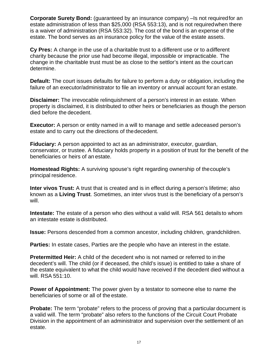**Corporate Surety Bond:** (guaranteed by an insurance company) –Is not required for an estate administration of less than \$25,000 (RSA 553:13), and is not required when there is a waiver of administration (RSA 553:32). The cost of the bond is an expense of the estate. The bond serves as an insurance policy for the value of the estate assets.

**Cy Pres:** A change in the use of a charitable trust to a different use or to a different charity because the prior use had become illegal, impossible or impracticable. The change in the charitable trust must be as close to the settlor's intent as the court can determine.

**Default:** The court issues defaults for failure to perform a duty or obligation, including the failure of an executor/administrator to file an inventory or annual account for an estate.

**Disclaimer:** The irrevocable relinquishment of a person's interest in an estate. When property is disclaimed, it is distributed to other heirs or beneficiaries as though the person died before the decedent.

**Executor:** A person or entity named in a will to manage and settle adeceased person's estate and to carry out the directions of the decedent.

**Fiduciary:** A person appointed to act as an administrator, executor, guardian, conservator, or trustee. A fiduciary holds property in a position of trust for the benefit of the beneficiaries or heirs of an estate.

**Homestead Rights:** A surviving spouse's right regarding ownership of the couple's principal residence.

**Inter vivos Trust:** A trust that is created and is in effect during a person's lifetime; also known as a **Living Trust**. Sometimes, an inter vivos trust is the beneficiary of a person's will.

**Intestate:** The estate of a person who dies without a valid will. RSA 561 details to whom an intestate estate is distributed.

**Issue:** Persons descended from a common ancestor, including children, grandchildren.

**Parties:** In estate cases, Parties are the people who have an interest in the estate.

**Pretermitted Heir:** A child of the decedent who is not named or referred to in the decedent's will. The child (or if deceased, the child's issue) is entitled to take a share of the estate equivalent to what the child would have received if the decedent died without a will. RSA 551:10.

**Power of Appointment:** The power given by a testator to someone else to name the beneficiaries of some or all of the estate.

**Probate:** The term "probate" refers to the process of proving that a particular document is a valid will. The term "probate" also refers to the functions of the Circuit Court Probate Division in the appointment of an administrator and supervision over the settlement of an estate.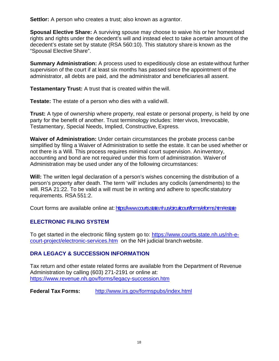**Settlor:** A person who creates a trust; also known as a grantor.

**Spousal Elective Share:** A surviving spouse may choose to waive his or her homestead rights and rights under the decedent's will and instead elect to take a certain amount of the decedent's estate set by statute (RSA 560:10). This statutory share is known as the "Spousal Elective Share".

**Summary Administration:** A process used to expeditiously close an estate without further supervision of the court if at least six months has passed since the appointment of the administrator, all debts are paid, and the administrator and beneficiaries all assent.

**Testamentary Trust:** A trust that is created within the will.

**Testate:** The estate of a person who dies with a valid will.

**Trust:** A type of ownership where property, real estate or personal property, is held by one party for the benefit of another. Trust terminology includes: Inter vivos, Irrevocable, Testamentary, Special Needs, Implied, Constructive, Express.

**Waiver of Administration:** Under certain circumstances the probate process can be simplified by filing a Waiver of Administration to settle the estate. It can be used whether or not there is a Will. This process requires minimal court supervision. An inventory, accounting and bond are not required under this form of administration. Waiver of Administration may be used under any of the following circumstances:

**Will:** The written legal declaration of a person's wishes concerning the distribution of a person's property after death. The term 'will' includes any codicils (amendments) to the will. RSA 21:22. To be valid a will must be in writing and adhere to specific statutory requirements. RSA 551:2.

Court forms are available online at: https://www.courts.state.nh.us/circuitcourt/forms/eforms.htm#estate

# **ELECTRONIC FILING SYSTEM**

To get started in the electronic filing system go to: https://www.courts.state.nh.us/nh-ecourt-[project/electronic-services.htm on](http://www.courts.state.nh.us/NH-E-COURT-PROJECT/ELECTRONIC-SERVICES.HTM) the NH judicial branch website.

# **DRA LEGACY & SUCCESSION INFORMATION**

Tax return and other estate related forms are available from the Department of Revenue Administration by calling (603) 271-2191 or online at: https://www.revenue.nh.gov/forms/legacy-succession.htm

**Federal Tax Forms:** <http://www.irs.gov/formspubs/index.html>